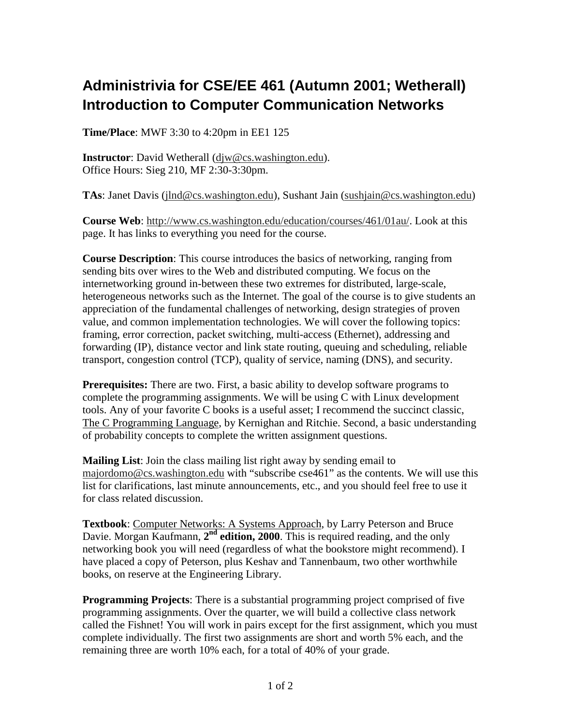## **Administrivia for CSE/EE 461 (Autumn 2001; Wetherall) Introduction to Computer Communication Networks**

**Time/Place**: MWF 3:30 to 4:20pm in EE1 125

**Instructor**: David Wetherall (djw@cs.washington.edu). Office Hours: Sieg 210, MF 2:30-3:30pm.

**TAs**: Janet Davis (jlnd@cs.washington.edu), Sushant Jain (sushjain@cs.washington.edu)

**Course Web**: http://www.cs.washington.edu/education/courses/461/01au/. Look at this page. It has links to everything you need for the course.

**Course Description**: This course introduces the basics of networking, ranging from sending bits over wires to the Web and distributed computing. We focus on the internetworking ground in-between these two extremes for distributed, large-scale, heterogeneous networks such as the Internet. The goal of the course is to give students an appreciation of the fundamental challenges of networking, design strategies of proven value, and common implementation technologies. We will cover the following topics: framing, error correction, packet switching, multi-access (Ethernet), addressing and forwarding (IP), distance vector and link state routing, queuing and scheduling, reliable transport, congestion control (TCP), quality of service, naming (DNS), and security.

**Prerequisites:** There are two. First, a basic ability to develop software programs to complete the programming assignments. We will be using C with Linux development tools. Any of your favorite C books is a useful asset; I recommend the succinct classic, The C Programming Language, by Kernighan and Ritchie. Second, a basic understanding of probability concepts to complete the written assignment questions.

**Mailing List**: Join the class mailing list right away by sending email to majordomo@cs.washington.edu with "subscribe cse461" as the contents. We will use this list for clarifications, last minute announcements, etc., and you should feel free to use it for class related discussion.

**Textbook**: Computer Networks: A Systems Approach, by Larry Peterson and Bruce Davie. Morgan Kaufmann, 2<sup>nd</sup> edition, 2000. This is required reading, and the only networking book you will need (regardless of what the bookstore might recommend). I have placed a copy of Peterson, plus Keshav and Tannenbaum, two other worthwhile books, on reserve at the Engineering Library.

**Programming Projects**: There is a substantial programming project comprised of five programming assignments. Over the quarter, we will build a collective class network called the Fishnet! You will work in pairs except for the first assignment, which you must complete individually. The first two assignments are short and worth 5% each, and the remaining three are worth 10% each, for a total of 40% of your grade.